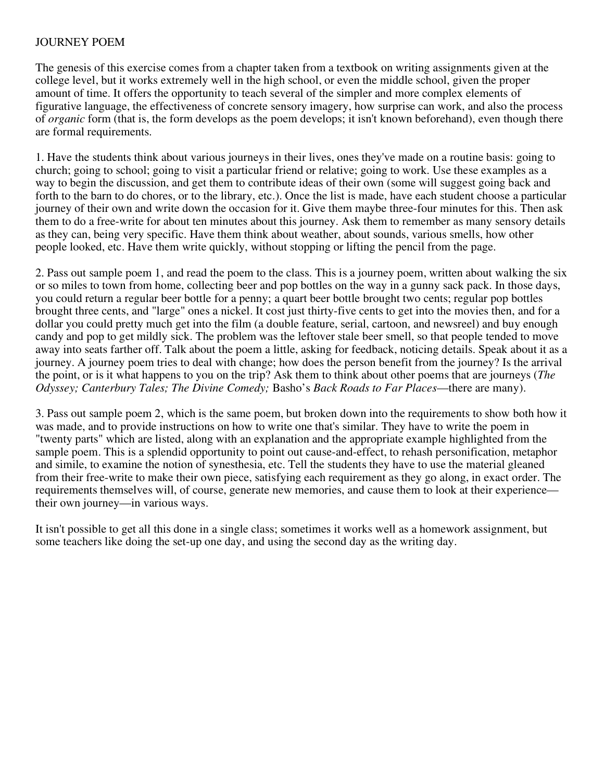## JOURNEY POEM

The genesis of this exercise comes from a chapter taken from a textbook on writing assignments given at the college level, but it works extremely well in the high school, or even the middle school, given the proper amount of time. It offers the opportunity to teach several of the simpler and more complex elements of figurative language, the effectiveness of concrete sensory imagery, how surprise can work, and also the process of *organic* form (that is, the form develops as the poem develops; it isn't known beforehand), even though there are formal requirements.

1. Have the students think about various journeys in their lives, ones they've made on a routine basis: going to church; going to school; going to visit a particular friend or relative; going to work. Use these examples as a way to begin the discussion, and get them to contribute ideas of their own (some will suggest going back and forth to the barn to do chores, or to the library, etc.). Once the list is made, have each student choose a particular journey of their own and write down the occasion for it. Give them maybe three-four minutes for this. Then ask them to do a free-write for about ten minutes about this journey. Ask them to remember as many sensory details as they can, being very specific. Have them think about weather, about sounds, various smells, how other people looked, etc. Have them write quickly, without stopping or lifting the pencil from the page.

2. Pass out sample poem 1, and read the poem to the class. This is a journey poem, written about walking the six or so miles to town from home, collecting beer and pop bottles on the way in a gunny sack pack. In those days, you could return a regular beer bottle for a penny; a quart beer bottle brought two cents; regular pop bottles brought three cents, and "large" ones a nickel. It cost just thirty-five cents to get into the movies then, and for a dollar you could pretty much get into the film (a double feature, serial, cartoon, and newsreel) and buy enough candy and pop to get mildly sick. The problem was the leftover stale beer smell, so that people tended to move away into seats farther off. Talk about the poem a little, asking for feedback, noticing details. Speak about it as a journey. A journey poem tries to deal with change; how does the person benefit from the journey? Is the arrival the point, or is it what happens to you on the trip? Ask them to think about other poems that are journeys (*The Odyssey; Canterbury Tales; The Divine Comedy;* Basho's *Back Roads to Far Places*—there are many).

3. Pass out sample poem 2, which is the same poem, but broken down into the requirements to show both how it was made, and to provide instructions on how to write one that's similar. They have to write the poem in "twenty parts" which are listed, along with an explanation and the appropriate example highlighted from the sample poem. This is a splendid opportunity to point out cause-and-effect, to rehash personification, metaphor and simile, to examine the notion of synesthesia, etc. Tell the students they have to use the material gleaned from their free-write to make their own piece, satisfying each requirement as they go along, in exact order. The requirements themselves will, of course, generate new memories, and cause them to look at their experience their own journey—in various ways.

It isn't possible to get all this done in a single class; sometimes it works well as a homework assignment, but some teachers like doing the set-up one day, and using the second day as the writing day.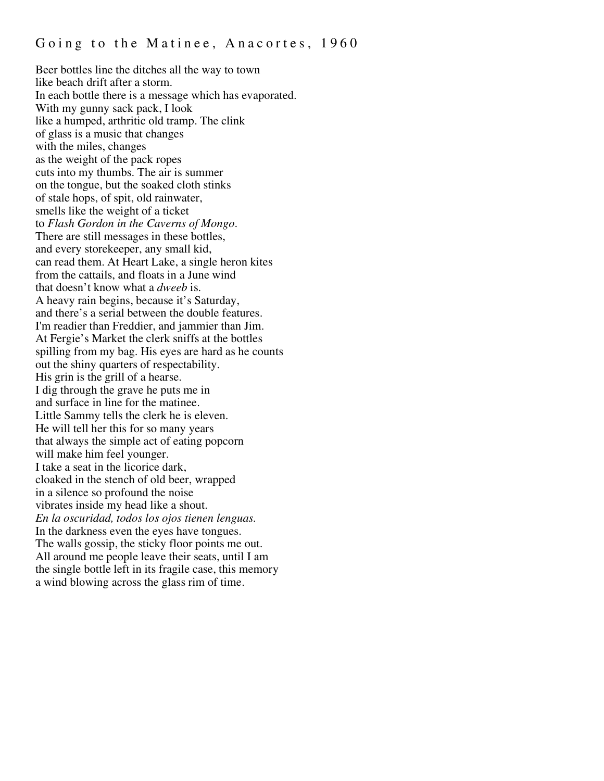Beer bottles line the ditches all the way to town like beach drift after a storm. In each bottle there is a message which has evaporated. With my gunny sack pack, I look like a humped, arthritic old tramp. The clink of glass is a music that changes with the miles, changes as the weight of the pack ropes cuts into my thumbs. The air is summer on the tongue, but the soaked cloth stinks of stale hops, of spit, old rainwater, smells like the weight of a ticket to *Flash Gordon in the Caverns of Mongo*. There are still messages in these bottles, and every storekeeper, any small kid, can read them. At Heart Lake, a single heron kites from the cattails, and floats in a June wind that doesn't know what a *dweeb* is. A heavy rain begins, because it's Saturday, and there's a serial between the double features. I'm readier than Freddier, and jammier than Jim. At Fergie's Market the clerk sniffs at the bottles spilling from my bag. His eyes are hard as he counts out the shiny quarters of respectability. His grin is the grill of a hearse. I dig through the grave he puts me in and surface in line for the matinee. Little Sammy tells the clerk he is eleven. He will tell her this for so many years that always the simple act of eating popcorn will make him feel younger. I take a seat in the licorice dark, cloaked in the stench of old beer, wrapped in a silence so profound the noise vibrates inside my head like a shout. *En la oscuridad, todos los ojos tienen lenguas.* In the darkness even the eyes have tongues. The walls gossip, the sticky floor points me out. All around me people leave their seats, until I am the single bottle left in its fragile case, this memory a wind blowing across the glass rim of time.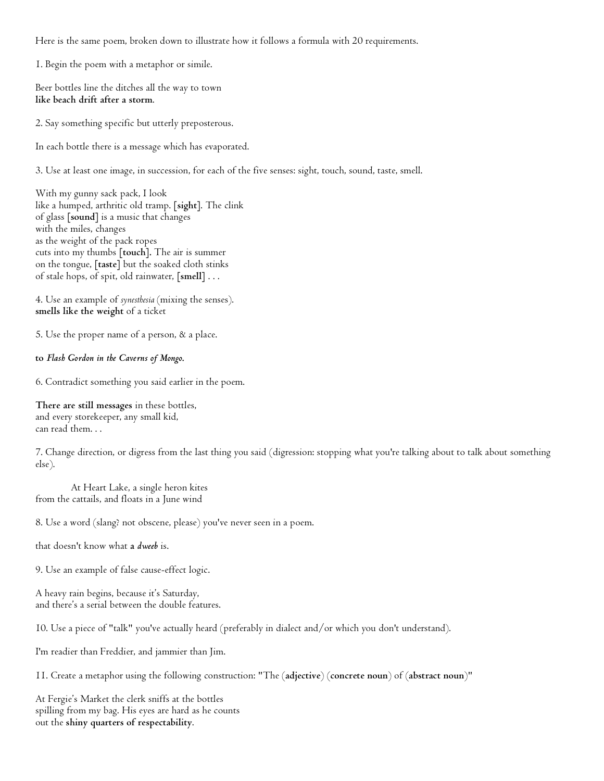Here is the same poem, broken down to illustrate how it follows a formula with 20 requirements.

1. Begin the poem with a metaphor or simile.

Beer bottles line the ditches all the way to town **like beach drift after a storm**.

2. Say something specific but utterly preposterous.

In each bottle there is a message which has evaporated.

3. Use at least one image, in succession, for each of the five senses: sight, touch, sound, taste, smell.

With my gunny sack pack, I look like a humped, arthritic old tramp. **[sight]**. The clink of glass **[sound]** is a music that changes with the miles, changes as the weight of the pack ropes cuts into my thumbs **[touch].** The air is summer on the tongue, **[taste]** but the soaked cloth stinks of stale hops, of spit, old rainwater, **[smell]** . . .

4. Use an example of *synesthesia* (mixing the senses). **smells like the weight** of a ticket

5. Use the proper name of a person, & a place.

**to** *Flash Gordon in the Caverns of Mongo***.**

6. Contradict something you said earlier in the poem.

**There are still messages** in these bottles, and every storekeeper, any small kid, can read them. . .

7. Change direction, or digress from the last thing you said (digression: stopping what you're talking about to talk about something else).

At Heart Lake, a single heron kites from the cattails, and floats in a June wind

8. Use a word (slang? not obscene, please) you've never seen in a poem.

that doesn't know what **a** *dweeb* is.

9. Use an example of false cause-effect logic.

A heavy rain begins, because it's Saturday, and there's a serial between the double features.

10. Use a piece of "talk" you've actually heard (preferably in dialect and/or which you don't understand).

I'm readier than Freddier, and jammier than Jim.

11. Create a metaphor using the following construction: "The (**adjective**) (**concrete noun**) of (**abstract noun**)"

At Fergie's Market the clerk sniffs at the bottles spilling from my bag. His eyes are hard as he counts out the **shiny quarters of respectability**.